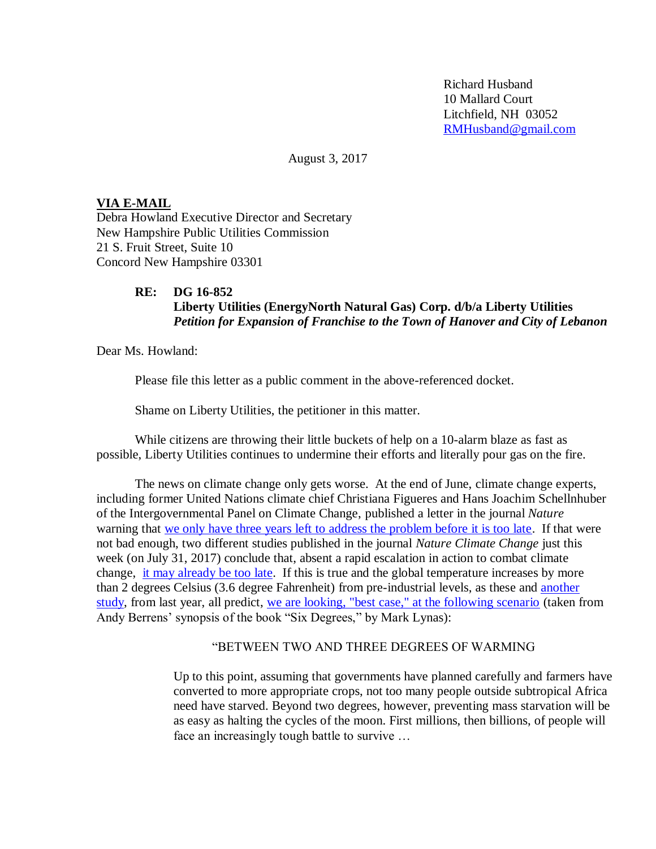Richard Husband 10 Mallard Court Litchfield, NH 03052 [RMHusband@gmail.com](mailto:RMHusband@gmail.com)

August 3, 2017

## **VIA E-MAIL**

Debra Howland Executive Director and Secretary New Hampshire Public Utilities Commission 21 S. Fruit Street, Suite 10 Concord New Hampshire 03301

## **RE: DG 16-852 Liberty Utilities (EnergyNorth Natural Gas) Corp. d/b/a Liberty Utilities** *Petition for Expansion of Franchise to the Town of Hanover and City of Lebanon*

Dear Ms. Howland:

Please file this letter as a public comment in the above-referenced docket.

Shame on Liberty Utilities, the petitioner in this matter.

While citizens are throwing their little buckets of help on a 10-alarm blaze as fast as possible, Liberty Utilities continues to undermine their efforts and literally pour gas on the fire.

The news on climate change only gets worse. At the end of June, climate change experts, including former United Nations climate chief Christiana Figueres and Hans Joachim Schellnhuber of the Intergovernmental Panel on Climate Change, published a letter in the journal *Nature* warning that [we only have three years left to address the problem before it is too late.](https://www.theguardian.com/environment/2017/jun/28/world-has-three-years-left-to-stop-dangerous-climate-change-warn-experts) If that were not bad enough, two different studies published in the journal *Nature Climate Change* just this week (on July 31, 2017) conclude that, absent a rapid escalation in action to combat climate change, [it may already be too late.](http://www.cnn.com/2017/07/31/health/climate-change-two-degrees-studies/index.html) If this is true and the global temperature increases by more than 2 degrees Celsius (3.6 degree Fahrenheit) from pre-industrial levels, as these and [another](http://www.un.org/sustainabledevelopment/blog/2016/11/report-world-must-cut-further-25-from-predicted-2030-emissions/)  [study,](http://www.un.org/sustainabledevelopment/blog/2016/11/report-world-must-cut-further-25-from-predicted-2030-emissions/) from last year, all predict, [we are looking, "best case," at the following scenario](http://globalwarming.berrens.nl/globalwarming.htm?utm_content=bufferc1609&utm_medium=social&utm_source=facebook.com&utm_campaign=buffer) (taken from Andy Berrens' synopsis of the book "Six Degrees," by Mark Lynas):

## "BETWEEN TWO AND THREE DEGREES OF WARMING

Up to this point, assuming that governments have planned carefully and farmers have converted to more appropriate crops, not too many people outside subtropical Africa need have starved. Beyond two degrees, however, preventing mass starvation will be as easy as halting the cycles of the moon. First millions, then billions, of people will face an increasingly tough battle to survive …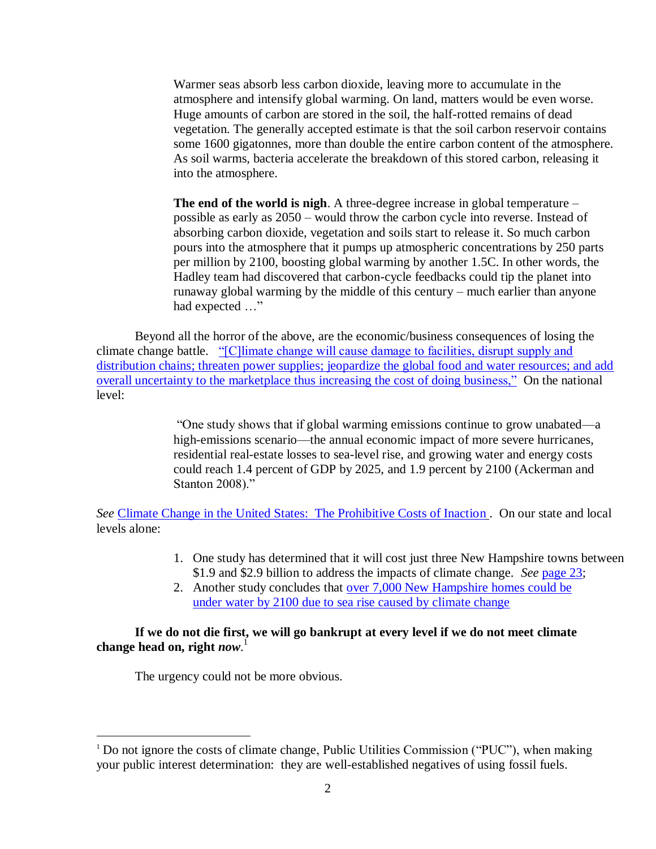Warmer seas absorb less carbon dioxide, leaving more to accumulate in the atmosphere and intensify global warming. On land, matters would be even worse. Huge amounts of carbon are stored in the soil, the half-rotted remains of dead vegetation. The generally accepted estimate is that the soil carbon reservoir contains some 1600 gigatonnes, more than double the entire carbon content of the atmosphere. As soil warms, bacteria accelerate the breakdown of this stored carbon, releasing it into the atmosphere.

**The end of the world is nigh**. A three-degree increase in global temperature – possible as early as 2050 – would throw the carbon cycle into reverse. Instead of absorbing carbon dioxide, vegetation and soils start to release it. So much carbon pours into the atmosphere that it pumps up atmospheric concentrations by 250 parts per million by 2100, boosting global warming by another 1.5C. In other words, the Hadley team had discovered that carbon-cycle feedbacks could tip the planet into runaway global warming by the middle of this century – much earlier than anyone had expected ..."

Beyond all the horror of the above, are the economic/business consequences of losing the climate change battle. "[C]limate change will cause damage to facilities, disrupt supply and [distribution chains; threaten power supplies; jeopardize the global food and water resources; and add](https://www.wemeanbusinesscoalition.org/about)  [overall uncertainty to the marketplace thus increasing the cost of doing business,"](https://www.wemeanbusinesscoalition.org/about) On the national level:

> "One study shows that if global warming emissions continue to grow unabated—a high-emissions scenario—the annual economic impact of more severe hurricanes, residential real-estate losses to sea-level rise, and growing water and energy costs could reach 1.4 percent of GDP by 2025, and 1.9 percent by 2100 (Ackerman and Stanton 2008)."

*See* [Climate Change in the United States: The Prohibitive Costs of Inaction](http://www.ucsusa.org/sites/default/files/legacy/assets/documents/global_warming/climate-costs-of-inaction.pdf) . On our state and local levels alone:

- 1. One study has determined that it will cost just three New Hampshire towns between \$1.9 and \$2.9 billion to address the impacts of climate change. *See* [page 23;](http://www.nwf.org/~/media/PDFs/Global-Warming/Reports/Changing-Tides_FINAL_LOW-RES-081516.ashx)
- 2. Another study concludes that [over 7,000 New Hampshire homes could be](http://www.unionleader.com/apps/pbcs.dll/article?AID=/20161130/NEWS11/161139963&template=printart)  [under water by 2100 due to sea rise caused by climate change](http://www.unionleader.com/apps/pbcs.dll/article?AID=/20161130/NEWS11/161139963&template=printart)

## **If we do not die first, we will go bankrupt at every level if we do not meet climate change head on, right** *now*. 1

The urgency could not be more obvious.

 $\overline{a}$ 

<sup>&</sup>lt;sup>1</sup> Do not ignore the costs of climate change, Public Utilities Commission ("PUC"), when making your public interest determination: they are well-established negatives of using fossil fuels.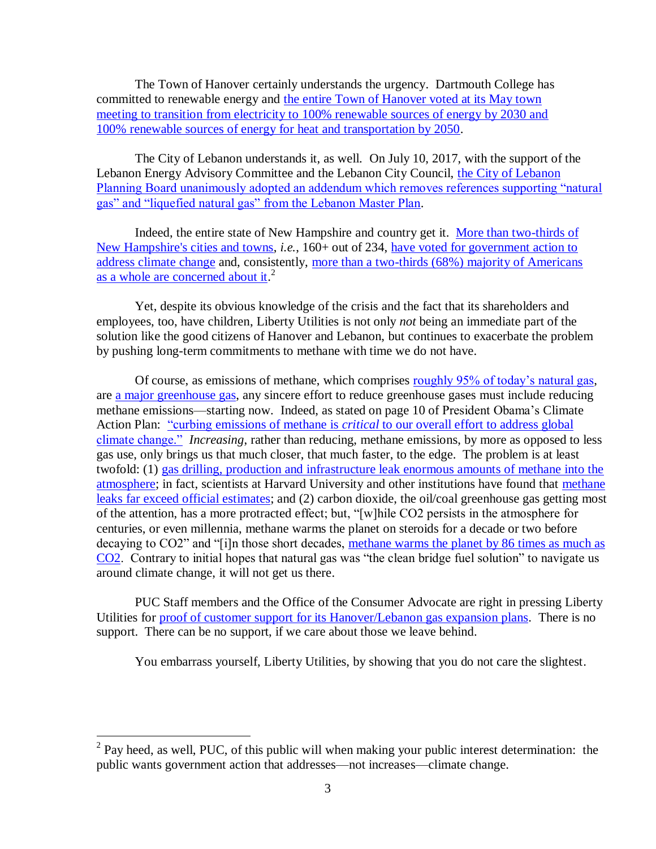The Town of Hanover certainly understands the urgency. Dartmouth College has committed to renewable energy and [the entire Town of Hanover voted at its May town](http://www.vnews.com/Regulators-Say-Liberty-Pipeline-Still-Without-Anchor-Customer-Detailed-Business-Plan-11326104)  [meeting to transition from electricity to 100% renewable sources of energy by 2030 and](http://www.vnews.com/Regulators-Say-Liberty-Pipeline-Still-Without-Anchor-Customer-Detailed-Business-Plan-11326104)  [100% renewable sources of energy for heat and transportation by 2050.](http://www.vnews.com/Regulators-Say-Liberty-Pipeline-Still-Without-Anchor-Customer-Detailed-Business-Plan-11326104)

The City of Lebanon understands it, as well. On July 10, 2017, with the support of the Lebanon Energy Advisory Committee and the Lebanon City Council, [the City of Lebanon](http://www.vnews.com/Lebanon-Planning-Board-Approves-Master-Plan-Addendum-11217992)  [Planning Board unanimously adopted an addendum which removes references supporting "natural](http://www.vnews.com/Lebanon-Planning-Board-Approves-Master-Plan-Addendum-11217992)  [gas" and "liquefied natural gas" from the Lebanon Master Plan.](http://www.vnews.com/Lebanon-Planning-Board-Approves-Master-Plan-Addendum-11217992)

Indeed, the entire state of New Hampshire and country get it. [More than two-thirds of](http://www.newhampshirelakesandmountains.com/Articles-c-2010-04-15-151000.113119_Plymouth_leads_the_way_to_new_energy_future.html)  [New Hampshire's cities and towns,](http://www.newhampshirelakesandmountains.com/Articles-c-2010-04-15-151000.113119_Plymouth_leads_the_way_to_new_energy_future.html) *i.e.*, 160+ out of 234, [have voted for government action to](http://www.nytimes.com/2007/03/19/us/19climate.html?_r=1)  [address climate change](http://www.nytimes.com/2007/03/19/us/19climate.html?_r=1) and, consistently, [more than a two-thirds \(68%\) majority of Americans](http://www.foxnews.com/politics/2016/11/23/poll-despite-trump-victory-voters-support-abortion-oppose-border-wall.html)  [as a whole are concerned about it.](http://www.foxnews.com/politics/2016/11/23/poll-despite-trump-victory-voters-support-abortion-oppose-border-wall.html)<sup>2</sup>

Yet, despite its obvious knowledge of the crisis and the fact that its shareholders and employees, too, have children, Liberty Utilities is not only *not* being an immediate part of the solution like the good citizens of Hanover and Lebanon, but continues to exacerbate the problem by pushing long-term commitments to methane with time we do not have.

Of course, as emissions of methane, which comprises [roughly 95% of today's natural gas,](https://www.uniongas.com/about-us/about-natural-gas/Chemical-Composition-of-Natural-Gas) are [a major greenhouse gas,](https://www3.epa.gov/climatechange/ghgemissions/gases/ch4.html) any sincere effort to reduce greenhouse gases must include reducing methane emissions—starting now. Indeed, as stated on page 10 of President Obama's Climate Action Plan: "curbing emissions of methane is *critical* [to our overall effort to address global](https://www.scribd.com/document/149809454/President-Obama-s-Climate-Action-Plan)  [climate change."](https://www.scribd.com/document/149809454/President-Obama-s-Climate-Action-Plan) *Increasing*, rather than reducing, methane emissions, by more as opposed to less gas use, only brings us that much closer, that much faster, to the edge. The problem is at least twofold: (1) [gas drilling, production and infrastructure leak enormous amounts of methane into the](http://news.nationalgeographic.com/news/energy/2014/12/141211-oil-gas-methane-leaks-epa-rules/)  [atmosphere;](http://news.nationalgeographic.com/news/energy/2014/12/141211-oil-gas-methane-leaks-epa-rules/) in fact, scientists at Harvard University and other institutions have found that [methane](https://insideclimatenews.org/news/20150128/methane-leaks-gas-pipelines-far-exceed-official-estimates-harvard-study-finds)  [leaks far exceed official estimates;](https://insideclimatenews.org/news/20150128/methane-leaks-gas-pipelines-far-exceed-official-estimates-harvard-study-finds) and (2) carbon dioxide, the oil/coal greenhouse gas getting most of the attention, has a more protracted effect; but, "[w]hile CO2 persists in the atmosphere for centuries, or even millennia, methane warms the planet on steroids for a decade or two before decaying to CO2" and "[i]n those short decades, methane warms the planet by 86 times as much as [CO2.](https://www.scientificamerican.com/article/how-bad-of-a-greenhouse-gas-is-methane/) Contrary to initial hopes that natural gas was "the clean bridge fuel solution" to navigate us around climate change, it will not get us there.

PUC Staff members and the Office of the Consumer Advocate are right in pressing Liberty Utilities for [proof of customer support for its Hanover/Lebanon gas expansion plans.](http://www.vnews.com/Regulators-Say-Liberty-Pipeline-Still-Without-Anchor-Customer-Detailed-Business-Plan-11326104) There is no support. There can be no support, if we care about those we leave behind.

You embarrass yourself, Liberty Utilities, by showing that you do not care the slightest.

<sup>&</sup>lt;sup>2</sup> Pay heed, as well, PUC, of this public will when making your public interest determination: the public wants government action that addresses—not increases—climate change.